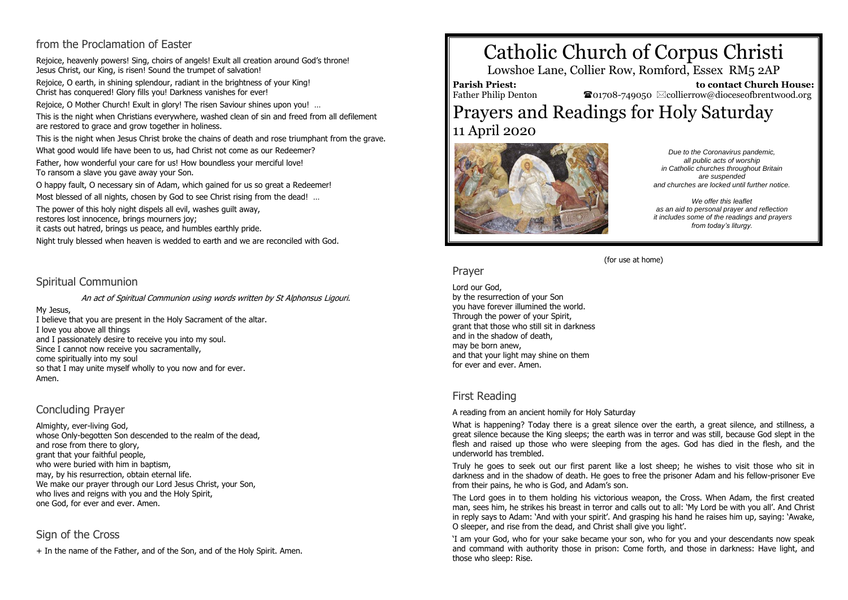## from the Proclamation of Easter

Rejoice, heavenly powers! Sing, choirs of angels! Exult all creation around God's throne! Jesus Christ, our King, is risen! Sound the trumpet of salvation!

Rejoice, O earth, in shining splendour, radiant in the brightness of your King! Christ has conquered! Glory fills you! Darkness vanishes for ever!

Rejoice, O Mother Church! Exult in glory! The risen Saviour shines upon you! ...

This is the night when Christians everywhere, washed clean of sin and freed from all defilement are restored to grace and grow together in holiness.

This is the night when Jesus Christ broke the chains of death and rose triumphant from the grave.

What good would life have been to us, had Christ not come as our Redeemer?

Father, how wonderful your care for us! How boundless your merciful love! To ransom a slave you gave away your Son.

O happy fault, O necessary sin of Adam, which gained for us so great a Redeemer!

Most blessed of all nights, chosen by God to see Christ rising from the dead! …

The power of this holy night dispels all evil, washes quilt away,

restores lost innocence, brings mourners joy;

it casts out hatred, brings us peace, and humbles earthly pride.

Night truly blessed when heaven is wedded to earth and we are reconciled with God.

#### Spiritual Communion

An act of Spiritual Communion using words written by St Alphonsus Ligouri.

#### My Jesus,

I believe that you are present in the Holy Sacrament of the altar. I love you above all things and I passionately desire to receive you into my soul. Since I cannot now receive you sacramentally, come spiritually into my soul so that I may unite myself wholly to you now and for ever. Amen.

#### Concluding Prayer

Almighty, ever-living God, whose Only-begotten Son descended to the realm of the dead, and rose from there to glory, grant that your faithful people, who were buried with him in baptism. may, by his resurrection, obtain eternal life. We make our prayer through our Lord Jesus Christ, your Son, who lives and reigns with you and the Holy Spirit, one God, for ever and ever. Amen.

### Sign of the Cross

+ In the name of the Father, and of the Son, and of the Holy Spirit. Amen.

# Catholic Church of Corpus Christi

Lowshoe Lane, Collier Row, Romford, Essex RM5 2AP

**Parish Priest:** Father Philip Denton  **to contact Church House:**  $\bullet$ 01708-749050  $\boxtimes$ collierrow@dioceseofbrentwood.org Prayers and Readings for Holy Saturday 11 April 2020

(for use at home)



*Due to the Coronavirus pandemic, all public acts of worship in Catholic churches throughout Britain are suspended and churches are locked until further notice.*

*We offer this leaflet as an aid to personal prayer and reflection it includes some of the readings and prayers from today's liturgy.*

# Prayer

Lord our God, by the resurrection of your Son you have forever illumined the world. Through the power of your Spirit, grant that those who still sit in darkness and in the shadow of death, may be born anew, and that your light may shine on them for ever and ever. Amen.

#### First Reading

A reading from an ancient homily for Holy Saturday

What is happening? Today there is a great silence over the earth, a great silence, and stillness, a great silence because the King sleeps; the earth was in terror and was still, because God slept in the flesh and raised up those who were sleeping from the ages. God has died in the flesh, and the underworld has trembled.

Truly he goes to seek out our first parent like a lost sheep; he wishes to visit those who sit in darkness and in the shadow of death. He goes to free the prisoner Adam and his fellow-prisoner Eve from their pains, he who is God, and Adam's son.

The Lord goes in to them holding his victorious weapon, the Cross. When Adam, the first created man, sees him, he strikes his breast in terror and calls out to all: 'My Lord be with you all'. And Christ in reply says to Adam: 'And with your spirit'. And grasping his hand he raises him up, saying: 'Awake, O sleeper, and rise from the dead, and Christ shall give you light'.

'I am your God, who for your sake became your son, who for you and your descendants now speak and command with authority those in prison: Come forth, and those in darkness: Have light, and those who sleep: Rise.